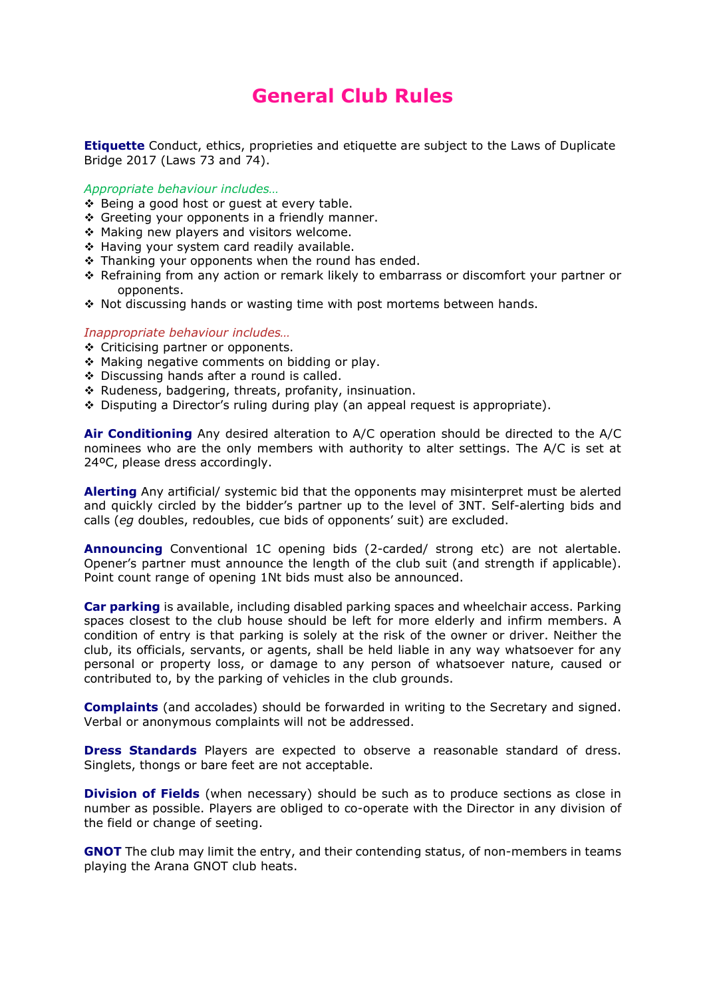## **General Club Rules**

**Etiquette** Conduct, ethics, proprieties and etiquette are subject to the Laws of Duplicate Bridge 2017 (Laws 73 and 74).

*Appropriate behaviour includes…* 

- ❖ Being a good host or quest at every table.
- Greeting your opponents in a friendly manner.
- \* Making new players and visitors welcome.
- ◆ Having your system card readily available.
- $\cdot$  Thanking your opponents when the round has ended.
- Refraining from any action or remark likely to embarrass or discomfort your partner or opponents.
- \* Not discussing hands or wasting time with post mortems between hands.

## *Inappropriate behaviour includes…*

- ❖ Criticising partner or opponents.
- \* Making negative comments on bidding or play.
- ◆ Discussing hands after a round is called.
- \* Rudeness, badgering, threats, profanity, insinuation.
- Disputing a Director's ruling during play (an appeal request is appropriate).

**Air Conditioning** Any desired alteration to A/C operation should be directed to the A/C nominees who are the only members with authority to alter settings. The A/C is set at 24ºC, please dress accordingly.

**Alerting** Any artificial/ systemic bid that the opponents may misinterpret must be alerted and quickly circled by the bidder's partner up to the level of 3NT. Self-alerting bids and calls (*eg* doubles, redoubles, cue bids of opponents' suit) are excluded.

**Announcing** Conventional 1C opening bids (2-carded/ strong etc) are not alertable. Opener's partner must announce the length of the club suit (and strength if applicable). Point count range of opening 1Nt bids must also be announced.

**Car parking** is available, including disabled parking spaces and wheelchair access. Parking spaces closest to the club house should be left for more elderly and infirm members. A condition of entry is that parking is solely at the risk of the owner or driver. Neither the club, its officials, servants, or agents, shall be held liable in any way whatsoever for any personal or property loss, or damage to any person of whatsoever nature, caused or contributed to, by the parking of vehicles in the club grounds.

**Complaints** (and accolades) should be forwarded in writing to the Secretary and signed. Verbal or anonymous complaints will not be addressed.

**Dress Standards** Players are expected to observe a reasonable standard of dress. Singlets, thongs or bare feet are not acceptable.

**Division of Fields** (when necessary) should be such as to produce sections as close in number as possible. Players are obliged to co-operate with the Director in any division of the field or change of seeting.

**GNOT** The club may limit the entry, and their contending status, of non-members in teams playing the Arana GNOT club heats.